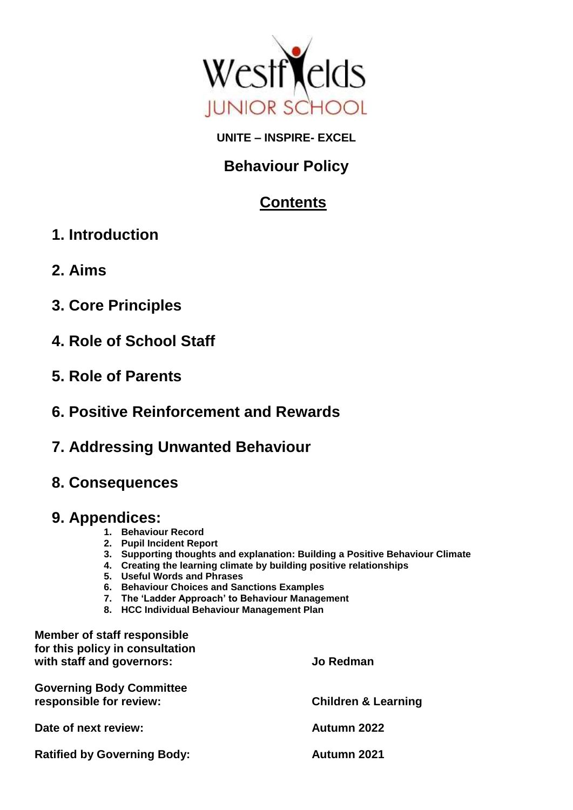

# **UNITE – INSPIRE- EXCEL**

# **Behaviour Policy**

# **Contents**

- **1. Introduction**
- **2. Aims**
- **3. Core Principles**
- **4. Role of School Staff**
- **5. Role of Parents**
- **6. Positive Reinforcement and Rewards**
- **7. Addressing Unwanted Behaviour**
- **8. Consequences**

# **9. Appendices:**

- **1. Behaviour Record**
- **2. Pupil Incident Report**
- **3. Supporting thoughts and explanation: Building a Positive Behaviour Climate**
- **4. Creating the learning climate by building positive relationships**
- **5. Useful Words and Phrases**
- **6. Behaviour Choices and Sanctions Examples**
- **7. The 'Ladder Approach' to Behaviour Management**
- **8. HCC Individual Behaviour Management Plan**

| <b>Member of staff responsible</b><br>for this policy in consultation |                                |
|-----------------------------------------------------------------------|--------------------------------|
| with staff and governors:                                             | <b>Jo Redman</b>               |
| <b>Governing Body Committee</b><br>responsible for review:            | <b>Children &amp; Learning</b> |
| Date of next review:                                                  | Autumn 2022                    |
| <b>Ratified by Governing Body:</b>                                    | Autumn 2021                    |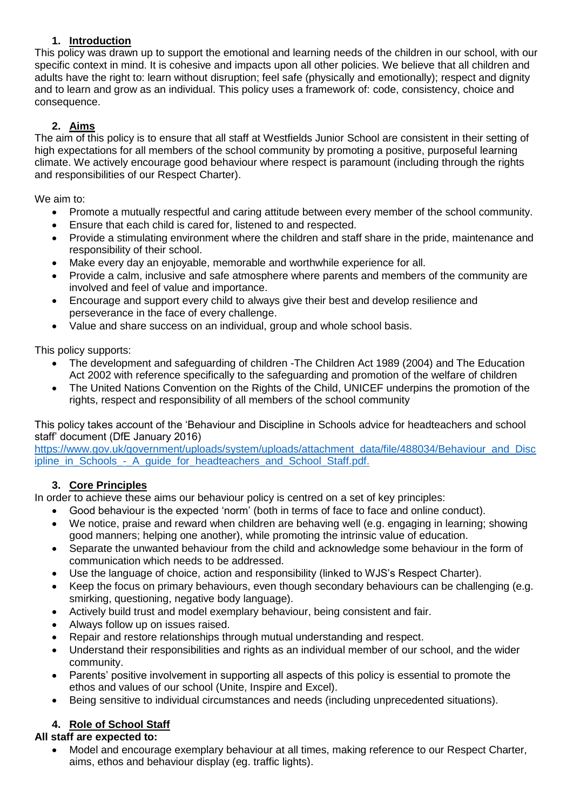## **1. Introduction**

This policy was drawn up to support the emotional and learning needs of the children in our school, with our specific context in mind. It is cohesive and impacts upon all other policies. We believe that all children and adults have the right to: learn without disruption; feel safe (physically and emotionally); respect and dignity and to learn and grow as an individual. This policy uses a framework of: code, consistency, choice and consequence.

# **2. Aims**

The aim of this policy is to ensure that all staff at Westfields Junior School are consistent in their setting of high expectations for all members of the school community by promoting a positive, purposeful learning climate. We actively encourage good behaviour where respect is paramount (including through the rights and responsibilities of our Respect Charter).

We aim to:

- Promote a mutually respectful and caring attitude between every member of the school community.
- Ensure that each child is cared for, listened to and respected.
- Provide a stimulating environment where the children and staff share in the pride, maintenance and responsibility of their school.
- Make every day an enjoyable, memorable and worthwhile experience for all.
- Provide a calm, inclusive and safe atmosphere where parents and members of the community are involved and feel of value and importance.
- Encourage and support every child to always give their best and develop resilience and perseverance in the face of every challenge.
- Value and share success on an individual, group and whole school basis.

This policy supports:

- The development and safeguarding of children -The Children Act 1989 (2004) and The Education Act 2002 with reference specifically to the safeguarding and promotion of the welfare of children
- The United Nations Convention on the Rights of the Child, UNICEF underpins the promotion of the rights, respect and responsibility of all members of the school community

This policy takes account of the 'Behaviour and Discipline in Schools advice for headteachers and school staff' document (DfE January 2016)

[https://www.gov.uk/government/uploads/system/uploads/attachment\\_data/file/488034/Behaviour\\_and\\_Disc](https://www.gov.uk/government/uploads/system/uploads/attachment_data/file/488034/Behaviour_and_Discipline_in_Schools_-_A_guide_for_headteachers_and_School_Staff.pdf.) [ipline\\_in\\_Schools\\_-\\_A\\_guide\\_for\\_headteachers\\_and\\_School\\_Staff.pdf.](https://www.gov.uk/government/uploads/system/uploads/attachment_data/file/488034/Behaviour_and_Discipline_in_Schools_-_A_guide_for_headteachers_and_School_Staff.pdf.)

# **3. Core Principles**

In order to achieve these aims our behaviour policy is centred on a set of key principles:

- Good behaviour is the expected 'norm' (both in terms of face to face and online conduct).
- We notice, praise and reward when children are behaving well (e.g. engaging in learning; showing good manners; helping one another), while promoting the intrinsic value of education.
- Separate the unwanted behaviour from the child and acknowledge some behaviour in the form of communication which needs to be addressed.
- Use the language of choice, action and responsibility (linked to WJS's Respect Charter).
- Keep the focus on primary behaviours, even though secondary behaviours can be challenging (e.g. smirking, questioning, negative body language).
- Actively build trust and model exemplary behaviour, being consistent and fair.
- Always follow up on issues raised.
- Repair and restore relationships through mutual understanding and respect.
- Understand their responsibilities and rights as an individual member of our school, and the wider community.
- Parents' positive involvement in supporting all aspects of this policy is essential to promote the ethos and values of our school (Unite, Inspire and Excel).
- Being sensitive to individual circumstances and needs (including unprecedented situations).

# **4. Role of School Staff**

# **All staff are expected to:**

• Model and encourage exemplary behaviour at all times, making reference to our Respect Charter, aims, ethos and behaviour display (eg. traffic lights).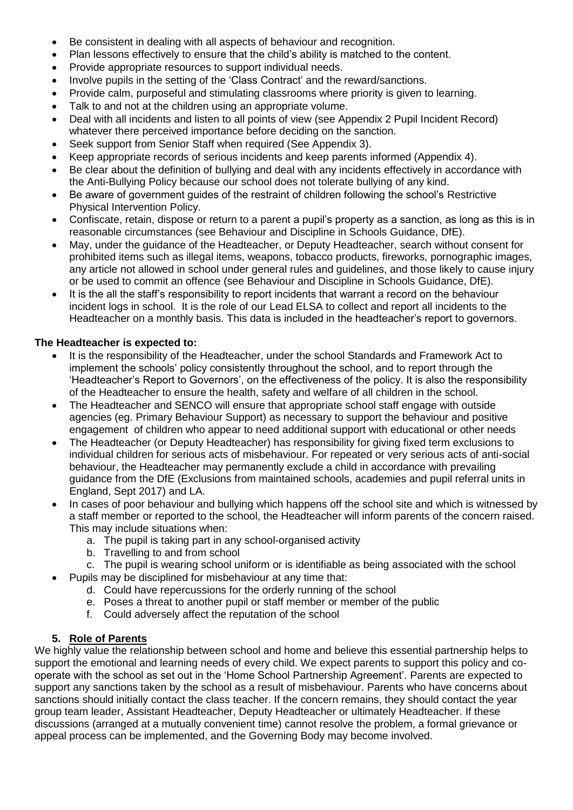- Be consistent in dealing with all aspects of behaviour and recognition.
- Plan lessons effectively to ensure that the child's ability is matched to the content.
- Provide appropriate resources to support individual needs.
- Involve pupils in the setting of the 'Class Contract' and the reward/sanctions.
- Provide calm, purposeful and stimulating classrooms where priority is given to learning.
- Talk to and not at the children using an appropriate volume.
- Deal with all incidents and listen to all points of view (see Appendix 2 Pupil Incident Record) whatever there perceived importance before deciding on the sanction.
- Seek support from Senior Staff when required (See Appendix 3).
- Keep appropriate records of serious incidents and keep parents informed (Appendix 4).
- Be clear about the definition of bullying and deal with any incidents effectively in accordance with the Anti-Bullying Policy because our school does not tolerate bullying of any kind.
- Be aware of government guides of the restraint of children following the school's Restrictive Physical Intervention Policy.
- Confiscate, retain, dispose or return to a parent a pupil's property as a sanction, as long as this is in reasonable circumstances (see Behaviour and Discipline in Schools Guidance, DfE).
- May, under the guidance of the Headteacher, or Deputy Headteacher, search without consent for prohibited items such as illegal items, weapons, tobacco products, fireworks, pornographic images, any article not allowed in school under general rules and guidelines, and those likely to cause injury or be used to commit an offence (see Behaviour and Discipline in Schools Guidance, DfE).
- It is the all the staff's responsibility to report incidents that warrant a record on the behaviour incident logs in school. It is the role of our Lead ELSA to collect and report all incidents to the Headteacher on a monthly basis. This data is included in the headteacher's report to governors.

#### **The Headteacher is expected to:**

- It is the responsibility of the Headteacher, under the school Standards and Framework Act to implement the schools' policy consistently throughout the school, and to report through the 'Headteacher's Report to Governors', on the effectiveness of the policy. It is also the responsibility of the Headteacher to ensure the health, safety and welfare of all children in the school.
- The Headteacher and SENCO will ensure that appropriate school staff engage with outside agencies (eg. Primary Behaviour Support) as necessary to support the behaviour and positive engagement of children who appear to need additional support with educational or other needs
- The Headteacher (or Deputy Headteacher) has responsibility for giving fixed term exclusions to individual children for serious acts of misbehaviour. For repeated or very serious acts of anti-social behaviour, the Headteacher may permanently exclude a child in accordance with prevailing guidance from the DfE (Exclusions from maintained schools, academies and pupil referral units in England, Sept 2017) and LA.
- In cases of poor behaviour and bullying which happens off the school site and which is witnessed by a staff member or reported to the school, the Headteacher will inform parents of the concern raised. This may include situations when:
	- a. The pupil is taking part in any school-organised activity
	- b. Travelling to and from school
	- c. The pupil is wearing school uniform or is identifiable as being associated with the school
- Pupils may be disciplined for misbehaviour at any time that:
	- d. Could have repercussions for the orderly running of the school
	- e. Poses a threat to another pupil or staff member or member of the public
	- f. Could adversely affect the reputation of the school

#### **5. Role of Parents**

We highly value the relationship between school and home and believe this essential partnership helps to support the emotional and learning needs of every child. We expect parents to support this policy and cooperate with the school as set out in the 'Home School Partnership Agreement'. Parents are expected to support any sanctions taken by the school as a result of misbehaviour. Parents who have concerns about sanctions should initially contact the class teacher. If the concern remains, they should contact the year group team leader, Assistant Headteacher, Deputy Headteacher or ultimately Headteacher. If these discussions (arranged at a mutually convenient time) cannot resolve the problem, a formal grievance or appeal process can be implemented, and the Governing Body may become involved.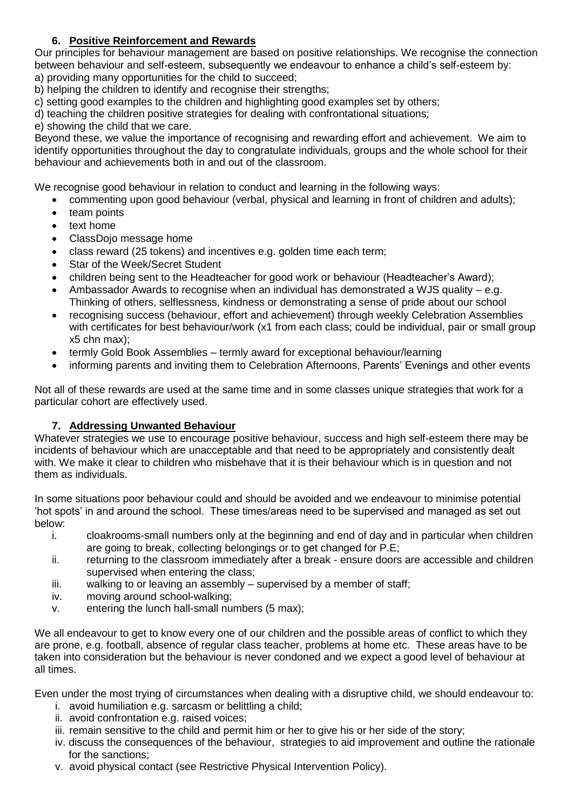## **6. Positive Reinforcement and Rewards**

Our principles for behaviour management are based on positive relationships. We recognise the connection between behaviour and self-esteem, subsequently we endeavour to enhance a child's self-esteem by: a) providing many opportunities for the child to succeed;

b) helping the children to identify and recognise their strengths;

c) setting good examples to the children and highlighting good examples set by others;

d) teaching the children positive strategies for dealing with confrontational situations;

e) showing the child that we care.

Beyond these, we value the importance of recognising and rewarding effort and achievement. We aim to identify opportunities throughout the day to congratulate individuals, groups and the whole school for their behaviour and achievements both in and out of the classroom.

We recognise good behaviour in relation to conduct and learning in the following ways:

- commenting upon good behaviour (verbal, physical and learning in front of children and adults);
- team points
- text home
- ClassDojo message home
- class reward (25 tokens) and incentives e.g. golden time each term;
- Star of the Week/Secret Student
- children being sent to the Headteacher for good work or behaviour (Headteacher's Award);
- Ambassador Awards to recognise when an individual has demonstrated a WJS quality  $-e.a.$ Thinking of others, selflessness, kindness or demonstrating a sense of pride about our school
- recognising success (behaviour, effort and achievement) through weekly Celebration Assemblies with certificates for best behaviour/work (x1 from each class; could be individual, pair or small group x5 chn max);
- termly Gold Book Assemblies termly award for exceptional behaviour/learning
- informing parents and inviting them to Celebration Afternoons, Parents' Evenings and other events

Not all of these rewards are used at the same time and in some classes unique strategies that work for a particular cohort are effectively used.

### **7. Addressing Unwanted Behaviour**

Whatever strategies we use to encourage positive behaviour, success and high self-esteem there may be incidents of behaviour which are unacceptable and that need to be appropriately and consistently dealt with. We make it clear to children who misbehave that it is their behaviour which is in question and not them as individuals.

In some situations poor behaviour could and should be avoided and we endeavour to minimise potential 'hot spots' in and around the school. These times/areas need to be supervised and managed as set out below:

- i. cloakrooms-small numbers only at the beginning and end of day and in particular when children are going to break, collecting belongings or to get changed for P.E;
- ii. returning to the classroom immediately after a break ensure doors are accessible and children supervised when entering the class;
- iii. walking to or leaving an assembly supervised by a member of staff;
- iv. moving around school-walking;
- v. entering the lunch hall-small numbers (5 max);

We all endeavour to get to know every one of our children and the possible areas of conflict to which they are prone, e.g. football, absence of regular class teacher, problems at home etc. These areas have to be taken into consideration but the behaviour is never condoned and we expect a good level of behaviour at all times.

Even under the most trying of circumstances when dealing with a disruptive child, we should endeavour to:

- i. avoid humiliation e.g. sarcasm or belittling a child;
- ii. avoid confrontation e.g. raised voices;
- iii. remain sensitive to the child and permit him or her to give his or her side of the story;
- iv. discuss the consequences of the behaviour, strategies to aid improvement and outline the rationale for the sanctions:
- v. avoid physical contact (see Restrictive Physical Intervention Policy).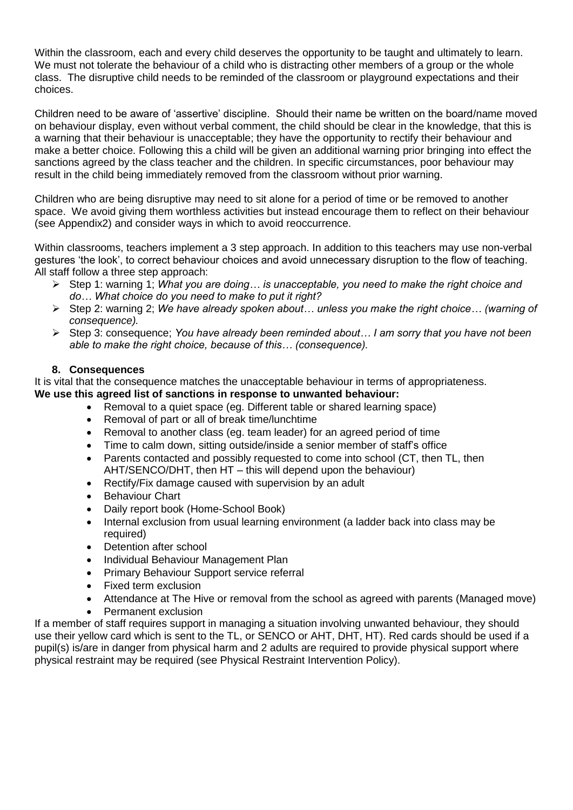Within the classroom, each and every child deserves the opportunity to be taught and ultimately to learn. We must not tolerate the behaviour of a child who is distracting other members of a group or the whole class. The disruptive child needs to be reminded of the classroom or playground expectations and their choices.

Children need to be aware of 'assertive' discipline. Should their name be written on the board/name moved on behaviour display, even without verbal comment, the child should be clear in the knowledge, that this is a warning that their behaviour is unacceptable; they have the opportunity to rectify their behaviour and make a better choice. Following this a child will be given an additional warning prior bringing into effect the sanctions agreed by the class teacher and the children. In specific circumstances, poor behaviour may result in the child being immediately removed from the classroom without prior warning.

Children who are being disruptive may need to sit alone for a period of time or be removed to another space. We avoid giving them worthless activities but instead encourage them to reflect on their behaviour (see Appendix2) and consider ways in which to avoid reoccurrence.

Within classrooms, teachers implement a 3 step approach. In addition to this teachers may use non-verbal gestures 'the look', to correct behaviour choices and avoid unnecessary disruption to the flow of teaching. All staff follow a three step approach:

- ➢ Step 1: warning 1; *What you are doing… is unacceptable, you need to make the right choice and do… What choice do you need to make to put it right?*
- ➢ Step 2: warning 2; *We have already spoken about… unless you make the right choice… (warning of consequence).*
- ➢ Step 3: consequence; *You have already been reminded about… I am sorry that you have not been able to make the right choice, because of this… (consequence).*

#### **8. Consequences**

It is vital that the consequence matches the unacceptable behaviour in terms of appropriateness. **We use this agreed list of sanctions in response to unwanted behaviour:**

- Removal to a quiet space (eg. Different table or shared learning space)
- Removal of part or all of break time/lunchtime
- Removal to another class (eg. team leader) for an agreed period of time
- Time to calm down, sitting outside/inside a senior member of staff's office
- Parents contacted and possibly requested to come into school (CT, then TL, then AHT/SENCO/DHT, then HT – this will depend upon the behaviour)
- Rectify/Fix damage caused with supervision by an adult
- **Behaviour Chart**
- Daily report book (Home-School Book)
- Internal exclusion from usual learning environment (a ladder back into class may be required)
- Detention after school
- Individual Behaviour Management Plan
- Primary Behaviour Support service referral
- Fixed term exclusion
- Attendance at The Hive or removal from the school as agreed with parents (Managed move)
- Permanent exclusion

If a member of staff requires support in managing a situation involving unwanted behaviour, they should use their yellow card which is sent to the TL, or SENCO or AHT, DHT, HT). Red cards should be used if a pupil(s) is/are in danger from physical harm and 2 adults are required to provide physical support where physical restraint may be required (see Physical Restraint Intervention Policy).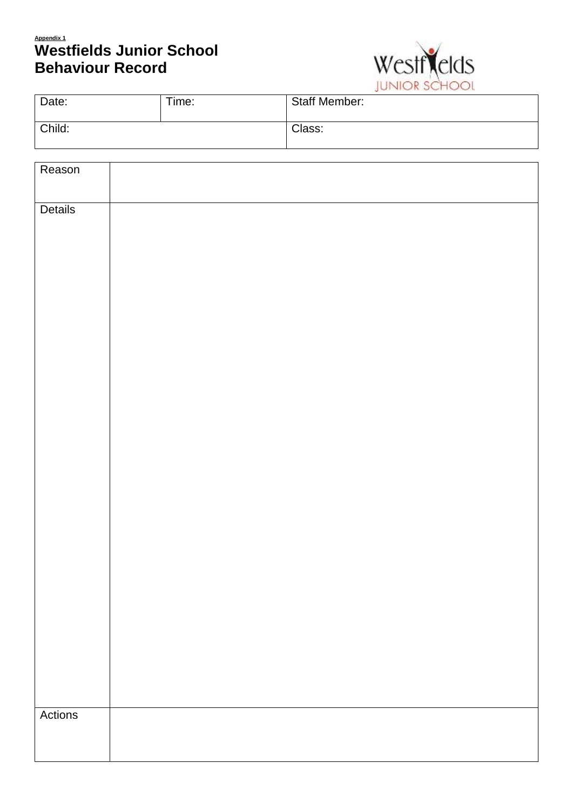# **Appendix 1 Westfields Junior School Behaviour Record**



|        |       | JUINDIN UNIVOL       |
|--------|-------|----------------------|
| Date:  | Time: | <b>Staff Member:</b> |
| Child: |       | Class:               |

| Reason  |  |  |
|---------|--|--|
| Details |  |  |
|         |  |  |
|         |  |  |
|         |  |  |
|         |  |  |
|         |  |  |
|         |  |  |
|         |  |  |
|         |  |  |
|         |  |  |
|         |  |  |
|         |  |  |
|         |  |  |
|         |  |  |
|         |  |  |
| Actions |  |  |
|         |  |  |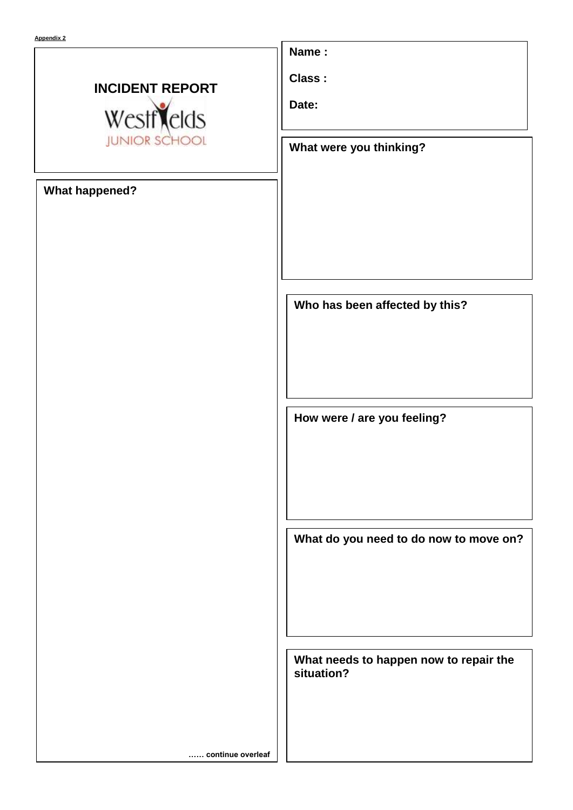# **INCIDENT REPORT** Westflelds **JUNIOR SCHO**

**What happened?** 

**Name :** 

**Class :**

**Date:**

**What were you thinking?**

**Who has been affected by this?**

**How were / are you feeling?**

**What do you need to do now to move on?** 

**What needs to happen now to repair the situation?**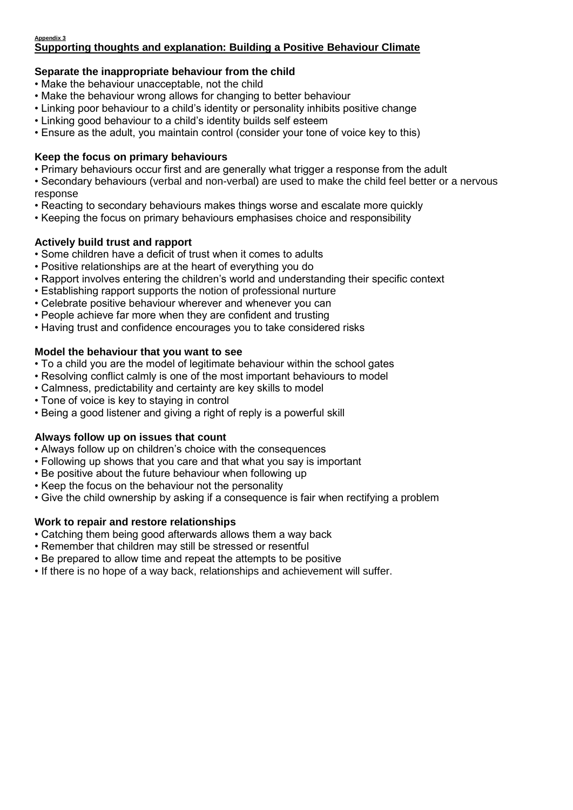#### **Appendix 3 Supporting thoughts and explanation: Building a Positive Behaviour Climate**

## **Separate the inappropriate behaviour from the child**

- Make the behaviour unacceptable, not the child
- Make the behaviour wrong allows for changing to better behaviour
- Linking poor behaviour to a child's identity or personality inhibits positive change
- Linking good behaviour to a child's identity builds self esteem
- Ensure as the adult, you maintain control (consider your tone of voice key to this)

### **Keep the focus on primary behaviours**

- Primary behaviours occur first and are generally what trigger a response from the adult
- Secondary behaviours (verbal and non-verbal) are used to make the child feel better or a nervous response
- Reacting to secondary behaviours makes things worse and escalate more quickly
- Keeping the focus on primary behaviours emphasises choice and responsibility

## **Actively build trust and rapport**

- Some children have a deficit of trust when it comes to adults
- Positive relationships are at the heart of everything you do
- Rapport involves entering the children's world and understanding their specific context
- Establishing rapport supports the notion of professional nurture
- Celebrate positive behaviour wherever and whenever you can
- People achieve far more when they are confident and trusting
- Having trust and confidence encourages you to take considered risks

#### **Model the behaviour that you want to see**

- To a child you are the model of legitimate behaviour within the school gates
- Resolving conflict calmly is one of the most important behaviours to model
- Calmness, predictability and certainty are key skills to model
- Tone of voice is key to staying in control
- Being a good listener and giving a right of reply is a powerful skill

### **Always follow up on issues that count**

- Always follow up on children's choice with the consequences
- Following up shows that you care and that what you say is important
- Be positive about the future behaviour when following up
- Keep the focus on the behaviour not the personality
- Give the child ownership by asking if a consequence is fair when rectifying a problem

### **Work to repair and restore relationships**

- Catching them being good afterwards allows them a way back
- Remember that children may still be stressed or resentful
- Be prepared to allow time and repeat the attempts to be positive
- If there is no hope of a way back, relationships and achievement will suffer.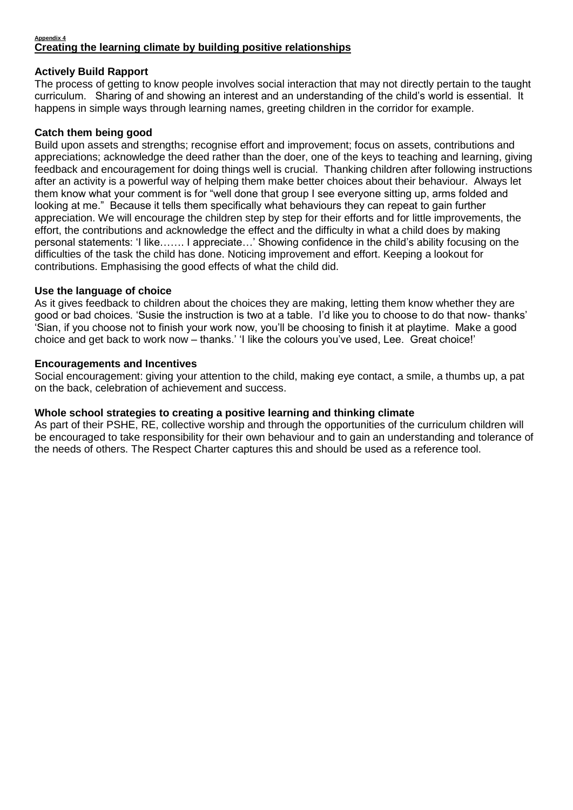#### **Appendix 4 Creating the learning climate by building positive relationships**

#### **Actively Build Rapport**

The process of getting to know people involves social interaction that may not directly pertain to the taught curriculum. Sharing of and showing an interest and an understanding of the child's world is essential. It happens in simple ways through learning names, greeting children in the corridor for example.

#### **Catch them being good**

Build upon assets and strengths; recognise effort and improvement; focus on assets, contributions and appreciations; acknowledge the deed rather than the doer, one of the keys to teaching and learning, giving feedback and encouragement for doing things well is crucial. Thanking children after following instructions after an activity is a powerful way of helping them make better choices about their behaviour. Always let them know what your comment is for "well done that group I see everyone sitting up, arms folded and looking at me." Because it tells them specifically what behaviours they can repeat to gain further appreciation. We will encourage the children step by step for their efforts and for little improvements, the effort, the contributions and acknowledge the effect and the difficulty in what a child does by making personal statements: 'I like……. I appreciate…' Showing confidence in the child's ability focusing on the difficulties of the task the child has done. Noticing improvement and effort. Keeping a lookout for contributions. Emphasising the good effects of what the child did.

#### **Use the language of choice**

As it gives feedback to children about the choices they are making, letting them know whether they are good or bad choices. 'Susie the instruction is two at a table. I'd like you to choose to do that now- thanks' 'Sian, if you choose not to finish your work now, you'll be choosing to finish it at playtime. Make a good choice and get back to work now – thanks.' 'I like the colours you've used, Lee. Great choice!'

#### **Encouragements and Incentives**

Social encouragement: giving your attention to the child, making eye contact, a smile, a thumbs up, a pat on the back, celebration of achievement and success.

#### **Whole school strategies to creating a positive learning and thinking climate**

As part of their PSHE, RE, collective worship and through the opportunities of the curriculum children will be encouraged to take responsibility for their own behaviour and to gain an understanding and tolerance of the needs of others. The Respect Charter captures this and should be used as a reference tool.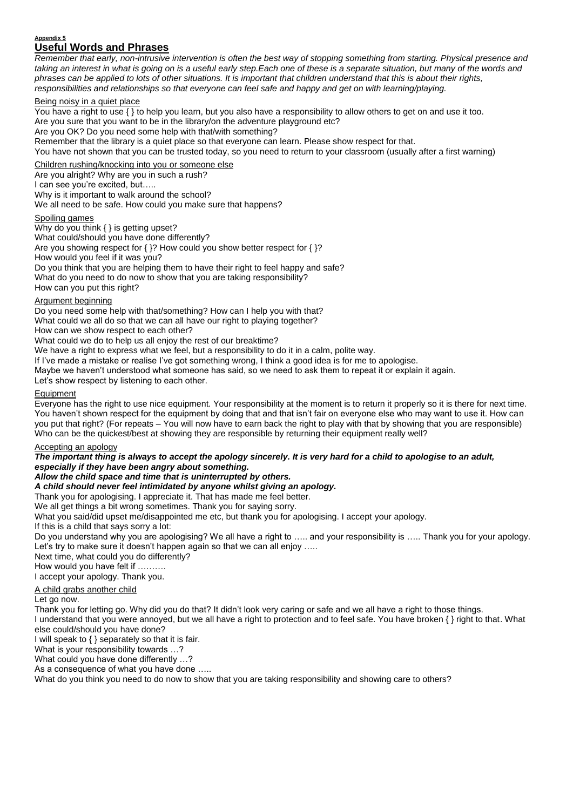#### **Appendix 5 Useful Words and Phrases**

*Remember that early, non-intrusive intervention is often the best way of stopping something from starting. Physical presence and taking an interest in what is going on is a useful early step.Each one of these is a separate situation, but many of the words and phrases can be applied to lots of other situations. It is important that children understand that this is about their rights, responsibilities and relationships so that everyone can feel safe and happy and get on with learning/playing.*

#### Being noisy in a quiet place

You have a right to use { } to help you learn, but you also have a responsibility to allow others to get on and use it too. Are you sure that you want to be in the library/on the adventure playground etc? Are you OK? Do you need some help with that/with something? Remember that the library is a quiet place so that everyone can learn. Please show respect for that. You have not shown that you can be trusted today, so you need to return to your classroom (usually after a first warning) Children rushing/knocking into you or someone else

Are you alright? Why are you in such a rush? I can see you're excited, but.....

Why is it important to walk around the school?

We all need to be safe. How could you make sure that happens?

#### Spoiling games

Why do you think { } is getting upset? What could/should you have done differently? Are you showing respect for { }? How could you show better respect for { }? How would you feel if it was you? Do you think that you are helping them to have their right to feel happy and safe? What do you need to do now to show that you are taking responsibility? How can you put this right?

#### Argument beginning

Do you need some help with that/something? How can I help you with that?

What could we all do so that we can all have our right to playing together?

How can we show respect to each other?

What could we do to help us all enjoy the rest of our breaktime?

We have a right to express what we feel, but a responsibility to do it in a calm, polite way.

If I've made a mistake or realise I've got something wrong, I think a good idea is for me to apologise.

Maybe we haven't understood what someone has said, so we need to ask them to repeat it or explain it again.

Let's show respect by listening to each other.

#### **Equipment**

Everyone has the right to use nice equipment. Your responsibility at the moment is to return it properly so it is there for next time. You haven't shown respect for the equipment by doing that and that isn't fair on everyone else who may want to use it. How can you put that right? (For repeats – You will now have to earn back the right to play with that by showing that you are responsible) Who can be the quickest/best at showing they are responsible by returning their equipment really well?

#### Accepting an apology

*The important thing is always to accept the apology sincerely. It is very hard for a child to apologise to an adult, especially if they have been angry about something.*

*Allow the child space and time that is uninterrupted by others.*

*A child should never feel intimidated by anyone whilst giving an apology.*

Thank you for apologising. I appreciate it. That has made me feel better.

We all get things a bit wrong sometimes. Thank you for saying sorry.

What you said/did upset me/disappointed me etc, but thank you for apologising. I accept your apology.

If this is a child that says sorry a lot:

Do you understand why you are apologising? We all have a right to ….. and your responsibility is ….. Thank you for your apology. Let's try to make sure it doesn't happen again so that we can all enjoy .....

Next time, what could you do differently?

How would you have felt if ……….

I accept your apology. Thank you.

#### A child grabs another child

Let go now.

Thank you for letting go. Why did you do that? It didn't look very caring or safe and we all have a right to those things.

I understand that you were annoyed, but we all have a right to protection and to feel safe. You have broken { } right to that. What else could/should you have done?

I will speak to { } separately so that it is fair.

What is your responsibility towards …?

What could you have done differently …?

As a consequence of what you have done …..

What do you think you need to do now to show that you are taking responsibility and showing care to others?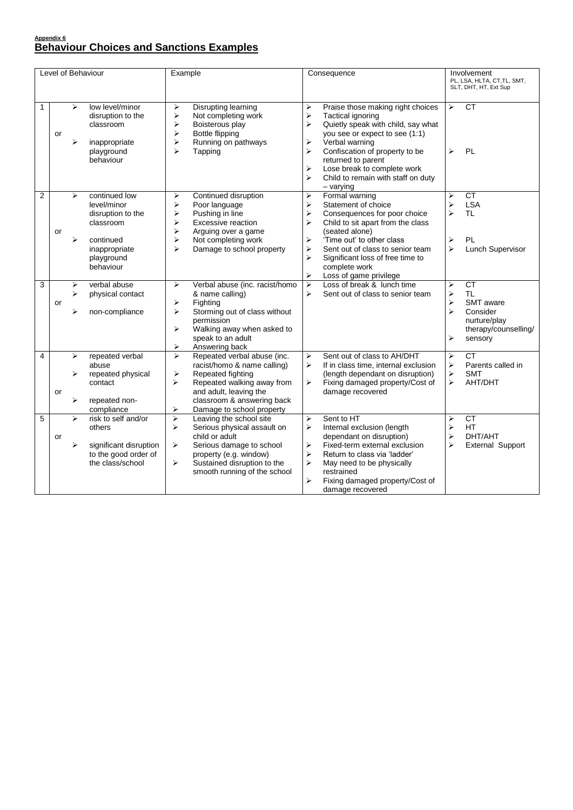# **Appendix 6 Behaviour Choices and Sanctions Examples**

| Level of Behaviour |    |             | Example                                                                                                                 | Consequence<br>Involvement<br>PL, LSA, HLTA, CT, TL, SMT,<br>SLT, DHT, HT, Ext Sup                                                                                                                                                                                |                                                                                                                                                                                                                                                                                                                                                                                                                                                                                                                            |
|--------------------|----|-------------|-------------------------------------------------------------------------------------------------------------------------|-------------------------------------------------------------------------------------------------------------------------------------------------------------------------------------------------------------------------------------------------------------------|----------------------------------------------------------------------------------------------------------------------------------------------------------------------------------------------------------------------------------------------------------------------------------------------------------------------------------------------------------------------------------------------------------------------------------------------------------------------------------------------------------------------------|
| $\mathbf{1}$       | or | ⋗<br>⋗      | low level/minor<br>disruption to the<br>classroom<br>inappropriate<br>playground<br>behaviour                           | ⋗<br>Disrupting learning<br>Not completing work<br>⋗<br>Boisterous play<br>⋗<br>⋗<br><b>Bottle flipping</b><br>➤<br>Running on pathways<br>$\blacktriangleright$<br>Tapping                                                                                       | CT<br>Praise those making right choices<br>$\blacktriangleright$<br>$\blacktriangleright$<br>$\blacktriangleright$<br><b>Tactical ignoring</b><br>Quietly speak with child, say what<br>⋗<br>you see or expect to see (1:1)<br>Verbal warning<br>⋗<br>$\blacktriangleright$<br>PL<br>Confiscation of property to be<br>↘<br>returned to parent<br>⋗<br>Lose break to complete work<br>➤<br>Child to remain with staff on duty<br>$-$ varying                                                                               |
| $\overline{2}$     | or | ➤<br>⋗      | continued low<br>level/minor<br>disruption to the<br>classroom<br>continued<br>inappropriate<br>playground<br>behaviour | Continued disruption<br>➤<br>$\blacktriangleright$<br>Poor language<br>Pushing in line<br>⋗<br>Excessive reaction<br>➤<br>≯<br>Arguing over a game<br>$\blacktriangleright$<br>Not completing work<br>$\blacktriangleright$<br>Damage to school property          | Formal warning<br><b>CT</b><br>⋗<br>$\blacktriangleright$<br><b>LSA</b><br>⋗<br>Statement of choice<br>$\blacktriangleright$<br>$\blacktriangleright$<br>$\blacktriangleright$<br><b>TL</b><br>Consequences for poor choice<br>⋗<br>Child to sit apart from the class<br>(seated alone)<br>'Time out' to other class<br><b>PL</b><br>⋗<br>➤<br>$\blacktriangleright$<br>Lunch Supervisor<br>⋗<br>Sent out of class to senior team<br>➤<br>Significant loss of free time to<br>complete work<br>➤<br>Loss of game privilege |
| 3                  | or | ⋗<br>⋗<br>↘ | verbal abuse<br>physical contact<br>non-compliance                                                                      | Verbal abuse (inc. racist/homo<br>$\triangleright$<br>& name calling)<br>Fighting<br>➤<br>Storming out of class without<br>$\blacktriangleright$<br>permission<br>Walking away when asked to<br>$\blacktriangleright$<br>speak to an adult<br>➤<br>Answering back | Loss of break & lunch time<br><b>CT</b><br>$\blacktriangleright$<br>↘<br><b>TL</b><br>↘<br>Sent out of class to senior team<br>➤<br>SMT aware<br>$\blacktriangleright$<br>$\blacktriangleright$<br>Consider<br>nurture/play<br>therapy/counselling/<br>➤<br>sensory                                                                                                                                                                                                                                                        |
| $\overline{4}$     | or | ⋗<br>↘      | repeated verbal<br>abuse<br>repeated physical<br>contact<br>repeated non-<br>compliance                                 | Repeated verbal abuse (inc.<br>⋗<br>racist/homo & name calling)<br>Repeated fighting<br>➤<br>⋗<br>Repeated walking away from<br>and adult, leaving the<br>classroom & answering back<br>Damage to school property<br>↘                                            | Sent out of class to AH/DHT<br>$\blacktriangleright$<br><b>CT</b><br>⋗<br>$\blacktriangleright$<br>$\blacktriangleright$<br>If in class time, internal exclusion<br>Parents called in<br>$\blacktriangleright$<br>(length dependant on disruption)<br><b>SMT</b><br>➤<br>Fixing damaged property/Cost of<br>➤<br>AHT/DHT<br>damage recovered                                                                                                                                                                               |
| 5                  | or | ↘<br>⋗      | risk to self and/or<br>others<br>significant disruption<br>to the good order of<br>the class/school                     | Leaving the school site<br>➤<br>↘<br>Serious physical assault on<br>child or adult<br>Serious damage to school<br>➤<br>property (e.g. window)<br>Sustained disruption to the<br>➤<br>smooth running of the school                                                 | Sent to HT<br><b>CT</b><br>➤<br>⋗<br>$\blacktriangleright$<br>Internal exclusion (length<br>$\blacktriangleright$<br><b>HT</b><br>$\blacktriangleright$<br>DHT/AHT<br>dependant on disruption)<br>$\blacktriangleright$<br>Fixed-term external exclusion<br>$\triangleright$<br>External Support<br>$\blacktriangleright$<br>Return to class via 'ladder'<br>$\blacktriangleright$<br>May need to be physically<br>restrained<br>Fixing damaged property/Cost of<br>⋗<br>damage recovered                                  |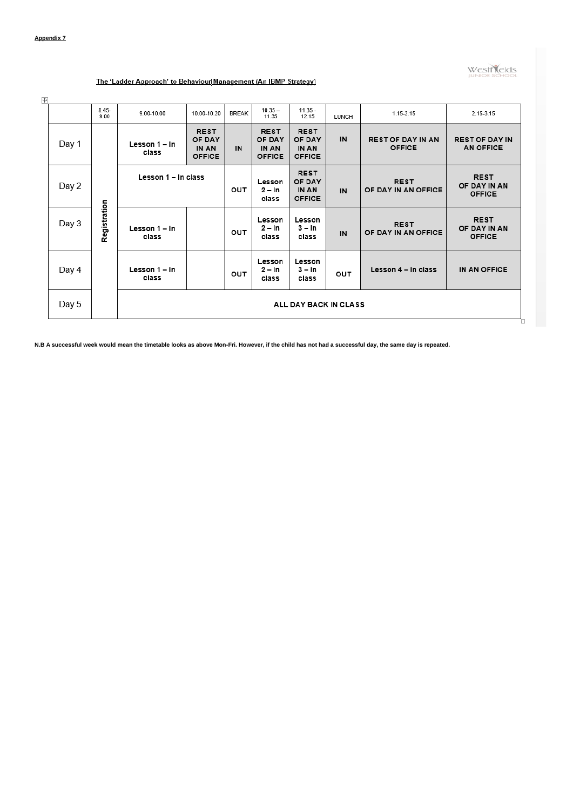**westNelds** 

#### The 'Ladder Approach' to Behaviour Management (An IBMP Strategy)

 $\overline{\mathbf{H}}$ 

|       | $8.45 -$<br>9.00 | 9.00-10.00             | 10.00-10.20                                            | <b>BREAK</b> | $10.35 -$<br>11.35                                     | $11.35 -$<br>12.15                                     | LUNCH | 1.15-2.15                                 | 2.15-3.15                                    |
|-------|------------------|------------------------|--------------------------------------------------------|--------------|--------------------------------------------------------|--------------------------------------------------------|-------|-------------------------------------------|----------------------------------------------|
| Day 1 |                  | Lesson 1 - In<br>class | <b>REST</b><br>OF DAY<br><b>IN AN</b><br><b>OFFICE</b> | IN           | <b>REST</b><br>OF DAY<br><b>IN AN</b><br><b>OFFICE</b> | <b>REST</b><br>OF DAY<br><b>IN AN</b><br><b>OFFICE</b> | IN    | <b>REST OF DAY IN AN</b><br><b>OFFICE</b> | <b>REST OF DAY IN</b><br>AN OFFICE           |
| Day 2 |                  | Lesson 1 - In class    |                                                        | OUT          | Lesson<br>$2 - ln$<br>class                            | <b>REST</b><br>OF DAY<br><b>IN AN</b><br><b>OFFICE</b> | IN    | <b>REST</b><br>OF DAY IN AN OFFICE        | <b>REST</b><br>OF DAY IN AN<br><b>OFFICE</b> |
| Day 3 | Registration     | Lesson 1 - In<br>class |                                                        | OUT          | Lesson<br>$2 - ln$<br>class                            | Lesson<br>$3 - ln$<br>class                            | IN    | <b>REST</b><br>OF DAY IN AN OFFICE        | <b>REST</b><br>OF DAY IN AN<br><b>OFFICE</b> |
| Day 4 |                  | Lesson 1 - In<br>class |                                                        | OUT          | Lesson<br>$2 - ln$<br>class                            | Lesson<br>$3 - ln$<br>class                            | OUT   | Lesson 4 - In class                       | IN AN OFFICE                                 |
| Day 5 |                  | ALL DAY BACK IN CLASS  |                                                        |              |                                                        |                                                        |       |                                           |                                              |

**N.B A successful week would mean the timetable looks as above Mon-Fri. However, if the child has not had a successful day, the same day is repeated.**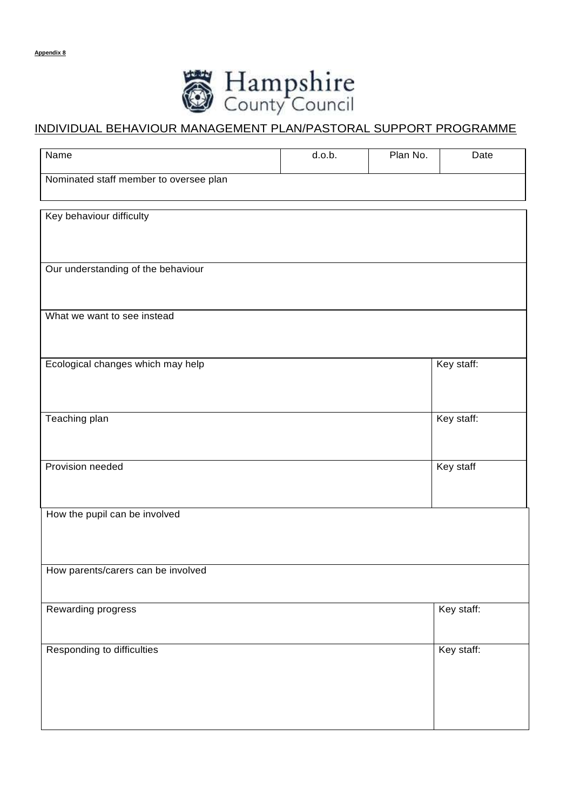

# INDIVIDUAL BEHAVIOUR MANAGEMENT PLAN/PASTORAL SUPPORT PROGRAMME

| Name                                   | d.o.b. | Plan No. | Date       |
|----------------------------------------|--------|----------|------------|
| Nominated staff member to oversee plan |        |          |            |
|                                        |        |          |            |
| Key behaviour difficulty               |        |          |            |
|                                        |        |          |            |
| Our understanding of the behaviour     |        |          |            |
|                                        |        |          |            |
| What we want to see instead            |        |          |            |
|                                        |        |          |            |
| Ecological changes which may help      |        |          | Key staff: |
|                                        |        |          |            |
| Teaching plan                          |        |          | Key staff: |
|                                        |        |          |            |
| Provision needed                       |        |          | Key staff  |
|                                        |        |          |            |
| How the pupil can be involved          |        |          |            |
|                                        |        |          |            |
|                                        |        |          |            |
| How parents/carers can be involved     |        |          |            |
|                                        |        |          |            |
| Rewarding progress                     |        |          | Key staff: |
| Responding to difficulties             |        |          | Key staff: |
|                                        |        |          |            |
|                                        |        |          |            |
|                                        |        |          |            |